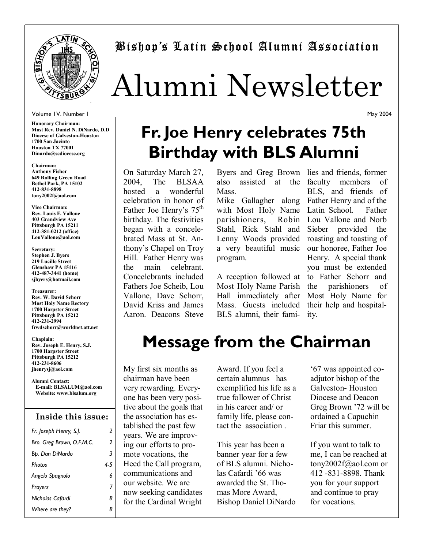

## Bishopís Latin School Alumni Association

## Alumni Newsletter

#### Volume 1V. Number 1

**Honorary Chairman: Most Rev. Daniel N. DiNardo, D.D Diocese of Galveston-Houston 1700 San Jacinto Houston TX 77001 Dinardo@scdiocese.org** 

**Chairman: Anthony Fisher 649 Rolling Green Road Bethel Park, PA 15102 412-831-8898 tony2002f@aol.com** 

**Vice Chairman: Rev. Louis F. Vallone 403 Grandview Ave Pittsburgh PA 15211 412-381-0212 (office) LouVallone@aol.com** 

**Secretary: Stephen J. Byers 219 Lucille Street Glenshaw PA 15116 412-487-3441 (home) sjbyers@hotmail.com** 

**Treasurer: Rev. W. David Schorr Most Holy Name Rectory 1700 Harpster Street Pittsburgh PA 15212 412-231-2994 frwdschorr@worldnet.att.net** 

**Chaplain: Rev. Joseph E. Henry, S.J. 1700 Harpster Street Pittsburgh PA 15212 412-231-8606 jhenrysj@aol.com** 

**Alumni Contact: E-mail: BLSALUM@aol.com Website: www.blsalum.org** 

#### **Inside this issue:**

| Fr. Joseph Henry, S.J.    | 2   |
|---------------------------|-----|
| Bro. Greg Brown, O.F.M.C. | 2   |
| Bp. Dan DiNardo           | 3   |
| <b>Photos</b>             | 4-5 |
| Angelo Spagnolo           | 6   |
| Prayers                   | 7   |
| Nicholas Cafardi          | 8   |
| Where are they?           | 8   |

# **Fr. Joe Henry celebrates 75th**

On Saturday March 27, 2004, The BLSAA hosted a wonderful celebration in honor of Father Joe Henry's 75<sup>th</sup> birthday. The festivities began with a concelebrated Mass at St. Anthony's Chapel on Troy Hill. Father Henry was the main celebrant. Concelebrants included Fathers Joe Scheib, Lou Vallone, Dave Schorr, David Kriss and James Aaron. Deacons Steve **Birthday with BLS Alumni** 

also assisted at the **Mass** 

Mike Gallagher along Father Henry and of the with Most Holy Name parishioners, Stahl, Rick Stahl and Lenny Woods provided a very beautiful music program.

A reception followed at Most Holy Name Parish Hall immediately after Mass. Guests included BLS alumni, their fami-

Byers and Greg Brown lies and friends, former faculty members of BLS, and friends of Latin School. Father Robin Lou Vallone and Norb Sieber provided the roasting and toasting of our honoree, Father Joe Henry. A special thank you must be extended to Father Schorr and the parishioners of Most Holy Name for their help and hospitality.

## **Message from the Chairman**

My first six months as chairman have been very rewarding. Everyone has been very positive about the goals that the association has established the past few years. We are improving our efforts to promote vocations, the Heed the Call program, communications and our website. We are now seeking candidates for the Cardinal Wright

Award. If you feel a certain alumnus has exemplified his life as a true follower of Christ in his career and/ or family life, please contact the association .

This year has been a banner year for a few of BLS alumni. Nicholas Cafardi '66 was awarded the St. Thomas More Award, Bishop Daniel DiNardo

ë67 was appointed coadjutor bishop of the Galveston- Houston Diocese and Deacon Greg Brown '72 will be ordained a Capuchin Friar this summer.

If you want to talk to me, I can be reached at tony2002f@aol.com or 412 -831-8898. Thank you for your support and continue to pray for vocations.

May 2004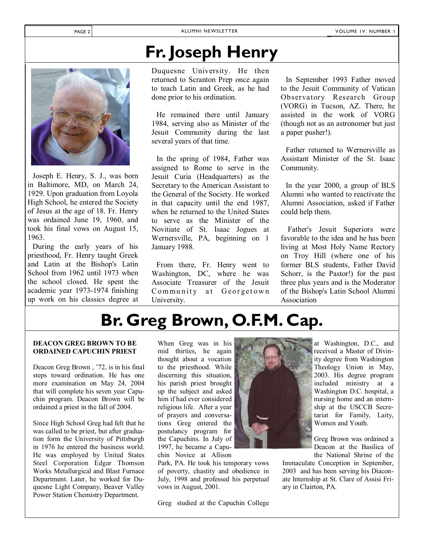## **Fr. Joseph Henry**



Joseph E. Henry, S. J., was born in Baltimore, MD, on March 24, 1929. Upon graduation from Loyola High School, he entered the Society of Jesus at the age of 18. Fr. Henry was ordained June 19, 1960, and took his final vows on August 15, 1963.

During the early years of his priesthood, Fr. Henry taught Greek and Latin at the Bishop's Latin School from 1962 until 1973 when the school closed. He spent the academic year 1973-1974 finishing up work on his classics degree at

Duquesne University. He then returned to Scranton Prep once again to teach Latin and Greek, as he had done prior to his ordination.

He remained there until January 1984, serving also as Minister of the Jesuit Community during the last several years of that time.

In the spring of 1984, Father was assigned to Rome to serve in the Jesuit Curia (Headquarters) as the Secretary to the American Assistant to the General of the Society. He worked in that capacity until the end 1987, when he returned to the United States to serve as the Minister of the Novitiate of St. Isaac Jogues at Wernersville, PA, beginning on 1 January 1988.

From there, Fr. Henry went to Washington, DC, where he was Associate Treasurer of the Jesuit Community at Georgetown University.

In September 1993 Father moved to the Jesuit Community of Vatican Observatory Research Group (VORG) in Tucson, AZ. There, he assisted in the work of VORG (though not as an astronomer but just a paper pusher!).

Father returned to Wernersville as Assistant Minister of the St. Isaac Community.

In the year 2000, a group of BLS Alumni who wanted to reactivate the Alumni Association, asked if Father could help them.

 Father's Jesuit Superiors were favorable to the idea and he has been living at Most Holy Name Rectory on Troy Hill (where one of his former BLS students, Father David Schorr, is the Pastor!) for the past three plus years and is the Moderator of the Bishop's Latin School Alumni Association

## **Br. Greg Brown, O.F.M. Cap.**

#### **DEACON GREG BROWN TO BE ORDAINED CAPUCHIN PRIEST**

Deacon Greg Brown, '72, is in his final steps toward ordination. He has one more examination on May 24, 2004 that will complete his seven year Capuchin program. Deacon Brown will be ordained a priest in the fall of 2004.

Since High School Greg had felt that he was called to be priest, but after graduation form the University of Pittsburgh in 1976 he entered the business world. He was employed by United States Steel Corporation Edgar Thomson Works Metallurgical and Blast Furnace Department. Later, he worked for Duquesne Light Company, Beaver Valley Power Station Chemistry Department.

When Greg was in his mid thirties, he again thought about a vocation to the priesthood. While discerning this situation, his parish priest brought up the subject and asked him if had ever considered religious life. After a year of prayers and conversations Greg entered the postulancy program for the Capuchins. In July of 1997, he became a Capuchin Novice at Allison

Park, PA. He took his temporary vows of poverty, chastity and obedience in July, 1998 and professed his perpetual vows in August, 2001.

Greg studied at the Capuchin College



at Washington, D.C., and received a Master of Divinity degree from Washington Theology Union in May, 2003. His degree program included ministry at a Washington D.C. hospital, a nursing home and an internship at the USCCB Secretariat for Family, Laity, Women and Youth.

Greg Brown was ordained a Deacon at the Basilica of the National Shrine of the

Immaculate Conception in September, 2003 and has been serving his Diaconate Internship at St. Clare of Assisi Friary in Clairton, PA.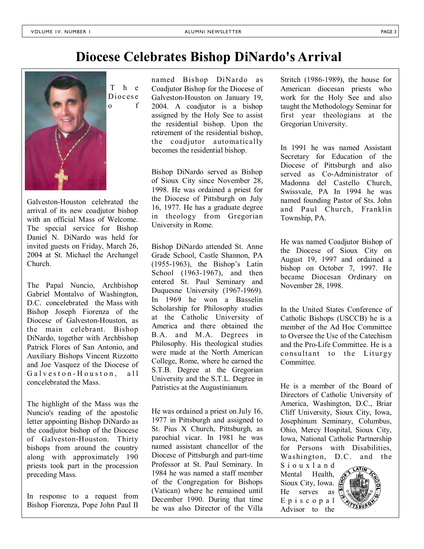### **Diocese Celebrates Bishop DiNardo's Arrival**



Galveston-Houston celebrated the arrival of its new coadjutor bishop with an official Mass of Welcome. The special service for Bishop Daniel N. DiNardo was held for invited guests on Friday, March 26, 2004 at St. Michael the Archangel Church.

The Papal Nuncio, Archbishop Gabriel Montalvo of Washington, D.C. concelebrated the Mass with Bishop Joseph Fiorenza of the Diocese of Galveston-Houston, as the main celebrant. Bishop DiNardo, together with Archbishop Patrick Flores of San Antonio, and Auxiliary Bishops Vincent Rizzotto and Joe Vasquez of the Diocese of Galveston-Houston, all concelebrated the Mass.

The highlight of the Mass was the Nuncio's reading of the apostolic letter appointing Bishop DiNardo as the coadjutor bishop of the Diocese of Galveston-Houston. Thirty bishops from around the country along with approximately 190 priests took part in the procession preceding Mass.

In response to a request from Bishop Fiorenza, Pope John Paul II named Bishop DiNardo as Coadjutor Bishop for the Diocese of Galveston-Houston on January 19, 2004. A coadjutor is a bishop assigned by the Holy See to assist the residential bishop. Upon the retirement of the residential bishop, the coadjutor automatically becomes the residential bishop.

Bishop DiNardo served as Bishop of Sioux City since November 28, 1998. He was ordained a priest for the Diocese of Pittsburgh on July 16, 1977. He has a graduate degree in theology from Gregorian University in Rome.

Bishop DiNardo attended St. Anne Grade School, Castle Shannon, PA  $(1955-1963)$ , the Bishop's Latin School (1963-1967), and then entered St. Paul Seminary and Duquesne University (1967-1969). In 1969 he won a Basselin Scholarship for Philosophy studies at the Catholic University of America and there obtained the B.A. and M.A. Degrees in Philosophy. His theological studies were made at the North American College, Rome, where he earned the S.T.B. Degree at the Gregorian University and the S.T.L. Degree in Patristics at the Augustinianum.

He was ordained a priest on July 16, 1977 in Pittsburgh and assigned to St. Pius X Church, Pittsburgh, as parochial vicar. In 1981 he was named assistant chancellor of the Diocese of Pittsburgh and part-time Professor at St. Paul Seminary. In 1984 he was named a staff member of the Congregation for Bishops (Vatican) where he remained until December 1990. During that time he was also Director of the Villa

Stritch (1986-1989), the house for American diocesan priests who work for the Holy See and also taught the Methodology Seminar for first year theologians at the Gregorian University.

In 1991 he was named Assistant Secretary for Education of the Diocese of Pittsburgh and also served as Co-Administrator of Madonna del Castello Church, Swissvale, PA In 1994 he was named founding Pastor of Sts. John and Paul Church, Franklin Township, PA.

He was named Coadjutor Bishop of the Diocese of Sioux City on August 19, 1997 and ordained a bishop on October 7, 1997. He became Diocesan Ordinary on November 28, 1998.

In the United States Conference of Catholic Bishops (USCCB) he is a member of the Ad Hoc Committee to Oversee the Use of the Catechism and the Pro-Life Committee. He is a consultant to the Liturgy Committee.

He is a member of the Board of Directors of Catholic University of America, Washington, D.C., Briar Cliff University, Sioux City, Iowa, Josephinum Seminary, Columbus, Ohio, Mercy Hospital, Sioux City, Iowa, National Catholic Partnership for Persons with Disabilities, Washington, D.C. and the

S i o u x l a n d Mental Health, Sioux City, Iowa. He serves as E p i s c o p a l Advisor to the

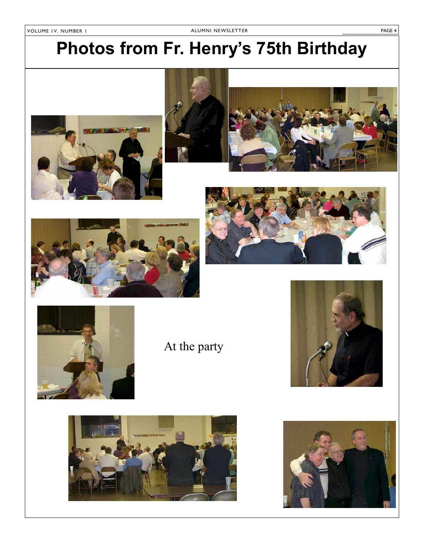## **Photos from Fr. Henryís 75th Birthday**











At the party





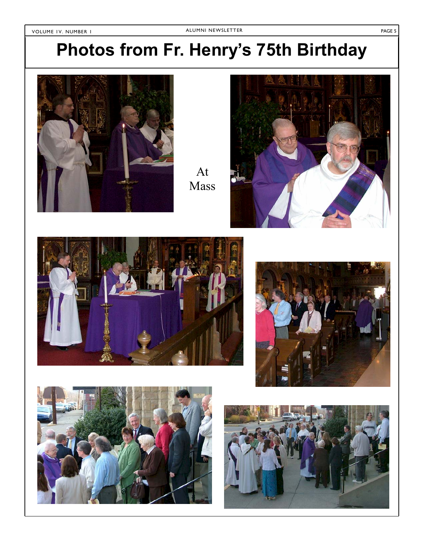## **Photos from Fr. Henryís 75th Birthday**



At Mass









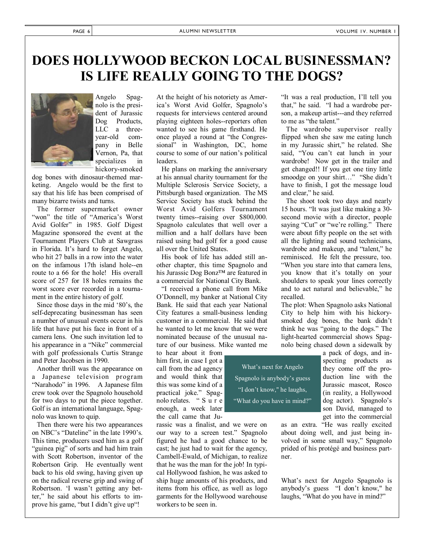## **DOES HOLLYWOOD BECKON LOCAL BUSINESSMAN? IS LIFE REALLY GOING TO THE DOGS?**



Angelo Spagnolo is the president of Jurassic Dog Products. LLC a threeyear-old company in Belle Vernon, Pa, that specializes in hickory-smoked

dog bones with dinosaur-themed marketing. Angelo would be the first to say that his life has been comprised of many bizarre twists and turns.

 The former supermarket owner "won" the title of "America's Worst Avid Golfer" in 1985. Golf Digest Magazine sponsored the event at the Tournament Players Club at Sawgrass in Florida. It's hard to forget Angelo, who hit 27 balls in a row into the water on the infamous 17th island hole--en route to a 66 for the hole! His overall score of 257 for 18 holes remains the worst score ever recorded in a tournament in the entire history of golf.

Since those days in the mid '80's, the self-deprecating businessman has seen a number of unusual events occur in his life that have put his face in front of a camera lens. One such invitation led to his appearance in a "Nike" commercial with golf professionals Curtis Strange and Peter Jacobsen in 1990.

 Another thrill was the appearance on a Japanese television program "Narahodo" in 1996. A Japanese film crew took over the Spagnolo household for two days to put the piece together. Golf is an international language, Spagnolo was known to quip.

 Then there were his two appearances on NBC's "Dateline" in the late 1990's. This time, producers used him as a golf "guinea pig" of sorts and had him train with Scott Robertson, inventor of the Robertson Grip. He eventually went back to his old swing, having given up on the radical reverse grip and swing of Robertson. 'I wasn't getting any better," he said about his efforts to improve his game, "but I didn't give up"!

At the height of his notoriety as America's Worst Avid Golfer, Spagnolo's requests for interviews centered around playing eighteen holes--reporters often wanted to see his game firsthand. He once played a round at "the Congressional" in Washington, DC, home course to some of our nation's political leaders.

 He plans on marking the anniversary at his annual charity tournament for the Multiple Sclerosis Service Society, a Pittsburgh based organization. The MS Service Society has stuck behind the Worst Avid Golfers Tournament twenty times--raising over \$800,000. Spagnolo calculates that well over a million and a half dollars have been raised using bad golf for a good cause all over the United States.

 His book of life has added still another chapter, this time Spagnolo and his Jurassic Dog Bonz<sup> $TM$ </sup> are featured in a commercial for National City Bank.

"I received a phone call from Mike OíDonnell, my banker at National City Bank. He said that each year National City features a small-business lending customer in a commercial. He said that he wanted to let me know that we were nominated because of the unusual nature of our business. Mike wanted me

to hear about it from him first, in case I got a call from the ad agency and would think that this was some kind of a practical joke." Spagnolo relates. "Sur e enough, a week later the call came that Ju-

rassic was a finalist, and we were on our way to a screen test." Spagnolo figured he had a good chance to be cast; he just had to wait for the agency, Cambell-Ewald, of Michigan, to realize that he was the man for the job! In typical Hollywood fashion, he was asked to ship huge amounts of his products, and items from his office, as well as logo garments for the Hollywood warehouse workers to be seen in.

What's next for Angelo Spagnolo is anybody's guess "I don't know," he laughs, "What do you have in mind?"

"It was a real production, I'll tell you that," he said. "I had a wardrobe person, a makeup artist---and they referred to me as "the talent."

 The wardrobe supervisor really flipped when she saw me eating lunch in my Jurassic shirt," he related. She said, "You can't eat lunch in your wardrobe! Now get in the trailer and get changed!! If you get one tiny little smoodge on your shirt..." "She didn't have to finish, I got the message loud and clear," he said.

 The shoot took two days and nearly 15 hours. "It was just like making a 30second movie with a director, people saying "Cut" or "we're rolling." There were about fifty people on the set with all the lighting and sound technicians, wardrobe and makeup, and "talent," he reminisced. He felt the pressure, too. ìWhen you stare into that camera lens, you know that it's totally on your shoulders to speak your lines correctly and to act natural and believable," he recalled.

The plot: When Spagnolo asks National City to help him with his hickorysmoked dog bones, the bank didn't think he was "going to the dogs." The light-hearted commercial shows Spagnolo being chased down a sidewalk by

> a pack of dogs, and inspecting products as they come off the production line with the Jurassic mascot, Rosco (in reality, a Hollywood dog actor). Spagnolo's son David, managed to get into the commercial

as an extra. "He was really excited about doing well, and just being involved in some small way," Spagnolo prided of his protégé and business partner.

What's next for Angelo Spagnolo is anybody's guess "I don't know," he laughs, "What do you have in mind?"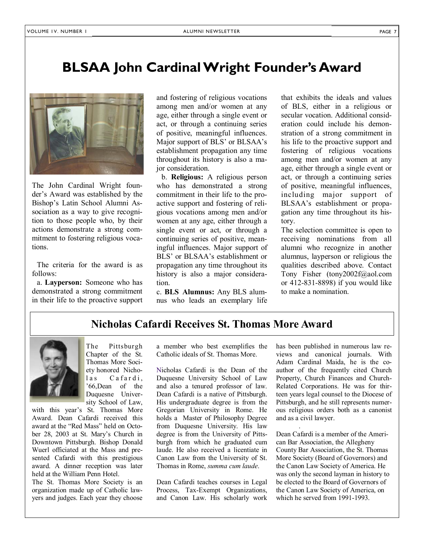#### **BLSAA John Cardinal Wright Founder's Award**



The John Cardinal Wright founder's Award was established by the Bishop's Latin School Alumni Association as a way to give recognition to those people who, by their actions demonstrate a strong commitment to fostering religious vocations.

 The criteria for the award is as follows:

 a. **Layperson:** Someone who has demonstrated a strong commitment in their life to the proactive support

and fostering of religious vocations among men and/or women at any age, either through a single event or act, or through a continuing series of positive, meaningful influences. Major support of BLS<sup>'</sup> or BLSAA's establishment propagation any time throughout its history is also a major consideration.

 b. **Religious:** A religious person who has demonstrated a strong commitment in their life to the proactive support and fostering of religious vocations among men and/or women at any age, either through a single event or act, or through a continuing series of positive, meaningful influences. Major support of BLS' or BLSAA's establishment or propagation any time throughout its history is also a major consideration.

c. **BLS Alumnus:** Any BLS alumnus who leads an exemplary life that exhibits the ideals and values of BLS, either in a religious or secular vocation. Additional consideration could include his demonstration of a strong commitment in his life to the proactive support and fostering of religious vocations among men and/or women at any age, either through a single event or act, or through a continuing series of positive, meaningful influences, including major support of BLSAA's establishment or propagation any time throughout its history.

The selection committee is open to receiving nominations from all alumni who recognize in another alumnus, layperson or religious the qualities described above. Contact Tony Fisher (tony2002f@aol.com or 412-831-8898) if you would like to make a nomination.

#### **Nicholas Cafardi Receives St. Thomas More Award**



The Pittsburgh Chapter of the St. Thomas More Society honored Nicholas Cafardi, í66,Dean of the Duquesne University School of Law,

with this year's St. Thomas More Award. Dean Cafardi received this award at the "Red Mass" held on October 28, 2003 at St. Mary's Church in Downtown Pittsburgh. Bishop Donald Wuerl officiated at the Mass and presented Cafardi with this prestigious award. A dinner reception was later held at the William Penn Hotel.

The St. Thomas More Society is an organization made up of Catholic lawyers and judges. Each year they choose

a member who best exemplifies the Catholic ideals of St. Thomas More.

Nicholas Cafardi is the Dean of the Duquesne University School of Law and also a tenured professor of law. Dean Cafardi is a native of Pittsburgh. His undergraduate degree is from the Gregorian University in Rome. He holds a Master of Philosophy Degree from Duquesne University. His law degree is from the University of Pittsburgh from which he graduated cum laude. He also received a licentiate in Canon Law from the University of St. Thomas in Rome, *summa cum laude*.

Dean Cafardi teaches courses in Legal Process, Tax-Exempt Organizations, and Canon Law. His scholarly work has been published in numerous law reviews and canonical journals. With Adam Cardinal Maida, he is the coauthor of the frequently cited Church Property, Church Finances and Church-Related Corporations. He was for thirteen years legal counsel to the Diocese of Pittsburgh, and he still represents numerous religious orders both as a canonist and as a civil lawyer.

Dean Cafardi is a member of the American Bar Association, the Allegheny County Bar Association, the St. Thomas More Society (Board of Governors) and the Canon Law Society of America. He was only the second layman in history to be elected to the Board of Governors of the Canon Law Society of America, on which he served from 1991-1993.

.